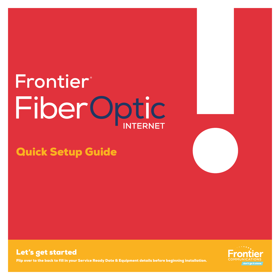# Frontier<sup>®</sup> FiberOptic

Quick Setup Guide





Flip over to the back to fill in your Service Ready Date & Equipment details before beginning installation.

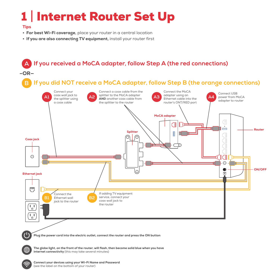# 1 | Internet Router Set Up

#### **Tips**

- For best Wi-Fi coverage, place your router in a central location
- If you are also connecting TV equipment, install your router first



(see the label on the bottom of your router)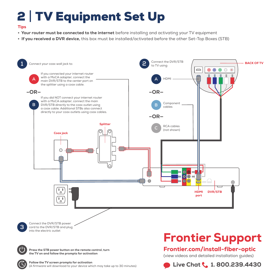# 2 | TV Equipment Set Up

#### Tips

- Your router must be connected to the internet before installing and activating your TV equipment
- If you received a DVR device, this box must be installed/activated before the other Set-Top Boxes (STB)



cord to the DVR/STB and plug into the electric outlet



Press the STB power button on the remote control, turn the TV on and follow the prompts for activation

Follow the TV screen prompts for activation (A firmware will download to your device which may take up to 30 minutes)

# Frontier Support

#### Frontier.com/install-fiber-optic

(view videos and detailed installation guides)